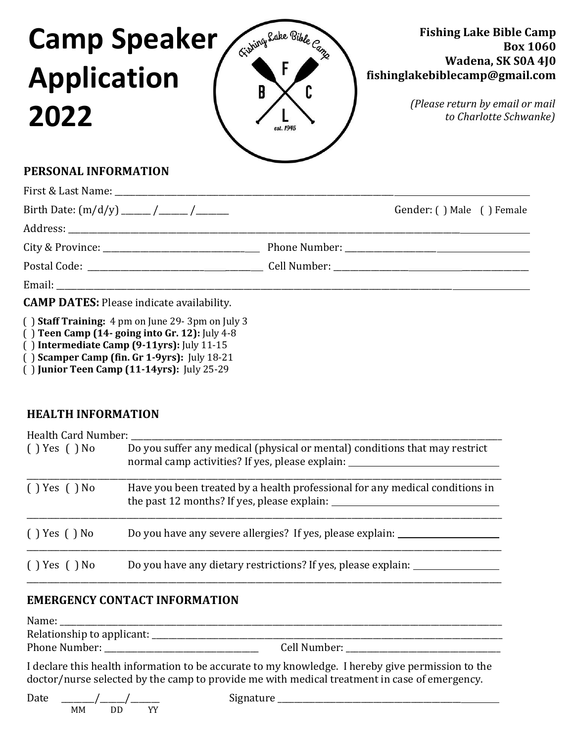

## **PERSONAL INFORMATION**

|                                                  | Gender: () Male () Female |
|--------------------------------------------------|---------------------------|
|                                                  |                           |
|                                                  |                           |
|                                                  |                           |
|                                                  |                           |
| <b>CAMP DATES:</b> Please indicate availability. |                           |

( ) **Staff Training:** 4 pm on June 29- 3pm on July 3

- ( ) **Teen Camp (14- going into Gr. 12):** July 4-8
- ( ) **Intermediate Camp (9-11yrs):** July 11-15
- ( ) **Scamper Camp (fin. Gr 1-9yrs):** July 18-21

( ) **Junior Teen Camp (11-14yrs):** July 25-29

# **HEALTH INFORMATION**

| Health Card Number: |                                                                                                                                  |  |  |  |
|---------------------|----------------------------------------------------------------------------------------------------------------------------------|--|--|--|
| $( )$ Yes $( )$ No  | Do you suffer any medical (physical or mental) conditions that may restrict<br>normal camp activities? If yes, please explain:   |  |  |  |
| () Yes () No        | Have you been treated by a health professional for any medical conditions in<br>the past 12 months? If yes, please explain: ____ |  |  |  |
| () Yes () No        | Do you have any severe allergies? If yes, please explain:                                                                        |  |  |  |
| () Yes () No        | Do you have any dietary restrictions? If yes, please explain:                                                                    |  |  |  |

## **EMERGENCY CONTACT INFORMATION**

| Name:                      |              |
|----------------------------|--------------|
| Relationship to applicant: |              |
| Phone Number:              | Cell Number: |
|                            |              |

I declare this health information to be accurate to my knowledge. I hereby give permission to the doctor/nurse selected by the camp to provide me with medical treatment in case of emergency.

| Date |    |    |    | מזוול<br>-----<br>монаг |  |
|------|----|----|----|-------------------------|--|
|      | MМ | ЭE | vv |                         |  |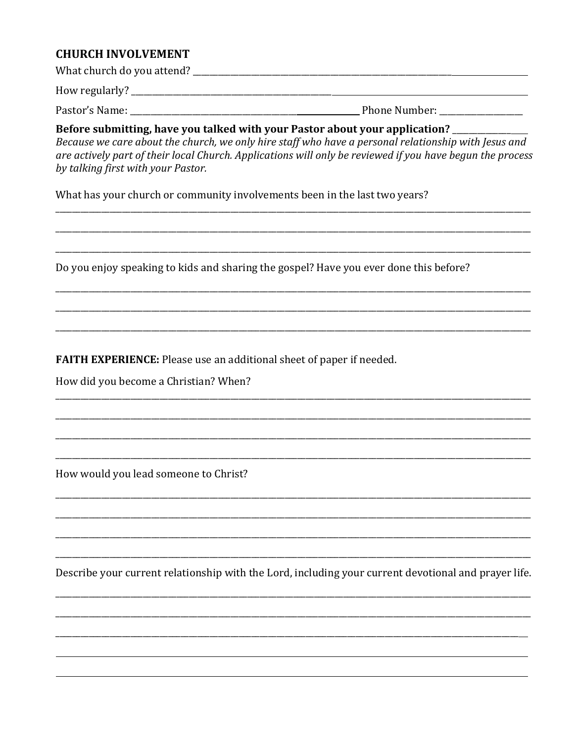### **CHURCH INVOLVEMENT**

## Before submitting, have you talked with your Pastor about your application?

Because we care about the church, we only hire staff who have a personal relationship with Jesus and are actively part of their local Church. Applications will only be reviewed if you have begun the process by talking first with your Pastor.

What has your church or community involvements been in the last two years?

Do you enjoy speaking to kids and sharing the gospel? Have you ever done this before?

**FAITH EXPERIENCE:** Please use an additional sheet of paper if needed.

How did you become a Christian? When?

How would you lead someone to Christ?

Describe your current relationship with the Lord, including your current devotional and prayer life.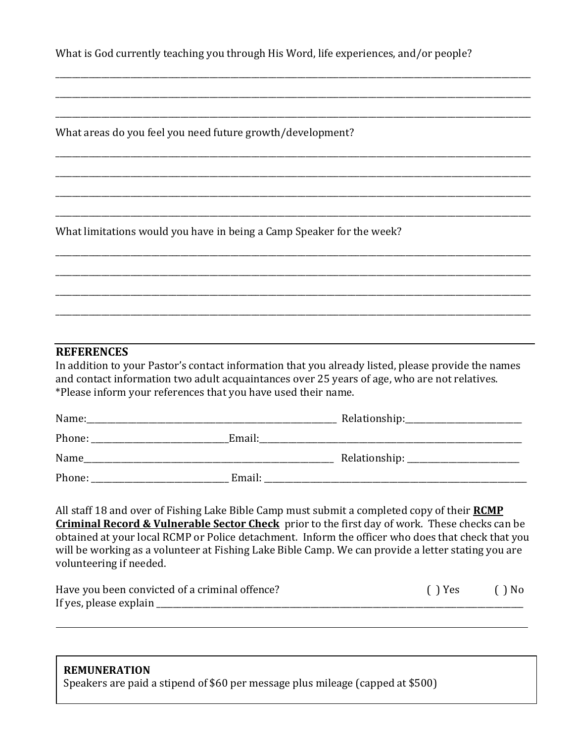What is God currently teaching you through His Word, life experiences, and/or people?

\_\_\_\_\_\_\_\_\_\_\_\_\_\_\_\_\_\_\_\_\_\_\_\_\_\_\_\_\_\_\_\_\_\_\_\_\_\_\_\_\_\_\_\_\_\_\_\_\_\_\_\_\_\_\_\_\_\_\_\_\_\_\_\_\_\_\_\_\_\_\_\_\_\_\_\_\_\_\_\_\_\_\_\_\_\_\_\_\_\_\_\_\_\_\_\_\_\_\_\_\_\_\_\_\_\_\_\_\_\_\_\_\_\_

\_\_\_\_\_\_\_\_\_\_\_\_\_\_\_\_\_\_\_\_\_\_\_\_\_\_\_\_\_\_\_\_\_\_\_\_\_\_\_\_\_\_\_\_\_\_\_\_\_\_\_\_\_\_\_\_\_\_\_\_\_\_\_\_\_\_\_\_\_\_\_\_\_\_\_\_\_\_\_\_\_\_\_\_\_\_\_\_\_\_\_\_\_\_\_\_\_\_\_\_\_\_\_\_\_\_\_\_\_\_\_\_\_\_

\_\_\_\_\_\_\_\_\_\_\_\_\_\_\_\_\_\_\_\_\_\_\_\_\_\_\_\_\_\_\_\_\_\_\_\_\_\_\_\_\_\_\_\_\_\_\_\_\_\_\_\_\_\_\_\_\_\_\_\_\_\_\_\_\_\_\_\_\_\_\_\_\_\_\_\_\_\_\_\_\_\_\_\_\_\_\_\_\_\_\_\_\_\_\_\_\_\_\_\_\_\_\_\_\_\_\_\_\_\_\_\_\_\_

\_\_\_\_\_\_\_\_\_\_\_\_\_\_\_\_\_\_\_\_\_\_\_\_\_\_\_\_\_\_\_\_\_\_\_\_\_\_\_\_\_\_\_\_\_\_\_\_\_\_\_\_\_\_\_\_\_\_\_\_\_\_\_\_\_\_\_\_\_\_\_\_\_\_\_\_\_\_\_\_\_\_\_\_\_\_\_\_\_\_\_\_\_\_\_\_\_\_\_\_\_\_\_\_\_\_\_\_\_\_\_\_\_\_

\_\_\_\_\_\_\_\_\_\_\_\_\_\_\_\_\_\_\_\_\_\_\_\_\_\_\_\_\_\_\_\_\_\_\_\_\_\_\_\_\_\_\_\_\_\_\_\_\_\_\_\_\_\_\_\_\_\_\_\_\_\_\_\_\_\_\_\_\_\_\_\_\_\_\_\_\_\_\_\_\_\_\_\_\_\_\_\_\_\_\_\_\_\_\_\_\_\_\_\_\_\_\_\_\_\_\_\_\_\_\_\_\_\_

\_\_\_\_\_\_\_\_\_\_\_\_\_\_\_\_\_\_\_\_\_\_\_\_\_\_\_\_\_\_\_\_\_\_\_\_\_\_\_\_\_\_\_\_\_\_\_\_\_\_\_\_\_\_\_\_\_\_\_\_\_\_\_\_\_\_\_\_\_\_\_\_\_\_\_\_\_\_\_\_\_\_\_\_\_\_\_\_\_\_\_\_\_\_\_\_\_\_\_\_\_\_\_\_\_\_\_\_\_\_\_\_\_\_

\_\_\_\_\_\_\_\_\_\_\_\_\_\_\_\_\_\_\_\_\_\_\_\_\_\_\_\_\_\_\_\_\_\_\_\_\_\_\_\_\_\_\_\_\_\_\_\_\_\_\_\_\_\_\_\_\_\_\_\_\_\_\_\_\_\_\_\_\_\_\_\_\_\_\_\_\_\_\_\_\_\_\_\_\_\_\_\_\_\_\_\_\_\_\_\_\_\_\_\_\_\_\_\_\_\_\_\_\_\_\_\_\_\_

\_\_\_\_\_\_\_\_\_\_\_\_\_\_\_\_\_\_\_\_\_\_\_\_\_\_\_\_\_\_\_\_\_\_\_\_\_\_\_\_\_\_\_\_\_\_\_\_\_\_\_\_\_\_\_\_\_\_\_\_\_\_\_\_\_\_\_\_\_\_\_\_\_\_\_\_\_\_\_\_\_\_\_\_\_\_\_\_\_\_\_\_\_\_\_\_\_\_\_\_\_\_\_\_\_\_\_\_\_\_\_\_\_\_

\_\_\_\_\_\_\_\_\_\_\_\_\_\_\_\_\_\_\_\_\_\_\_\_\_\_\_\_\_\_\_\_\_\_\_\_\_\_\_\_\_\_\_\_\_\_\_\_\_\_\_\_\_\_\_\_\_\_\_\_\_\_\_\_\_\_\_\_\_\_\_\_\_\_\_\_\_\_\_\_\_\_\_\_\_\_\_\_\_\_\_\_\_\_\_\_\_\_\_\_\_\_\_\_\_\_\_\_\_\_\_\_\_\_

\_\_\_\_\_\_\_\_\_\_\_\_\_\_\_\_\_\_\_\_\_\_\_\_\_\_\_\_\_\_\_\_\_\_\_\_\_\_\_\_\_\_\_\_\_\_\_\_\_\_\_\_\_\_\_\_\_\_\_\_\_\_\_\_\_\_\_\_\_\_\_\_\_\_\_\_\_\_\_\_\_\_\_\_\_\_\_\_\_\_\_\_\_\_\_\_\_\_\_\_\_\_\_\_\_\_\_\_\_\_\_\_\_\_

\_\_\_\_\_\_\_\_\_\_\_\_\_\_\_\_\_\_\_\_\_\_\_\_\_\_\_\_\_\_\_\_\_\_\_\_\_\_\_\_\_\_\_\_\_\_\_\_\_\_\_\_\_\_\_\_\_\_\_\_\_\_\_\_\_\_\_\_\_\_\_\_\_\_\_\_\_\_\_\_\_\_\_\_\_\_\_\_\_\_\_\_\_\_\_\_\_\_\_\_\_\_\_\_\_\_\_\_\_\_\_\_\_\_

What areas do you feel you need future growth/development?

What limitations would you have in being a Camp Speaker for the week?

### **REFERENCES**

In addition to your Pastor's contact information that you already listed, please provide the names and contact information two adult acquaintances over 25 years of age, who are not relatives. \*Please inform your references that you have used their name.

| Name:  |        | Relationship: |
|--------|--------|---------------|
| Phone: | Email: |               |
| Name   |        |               |
| Phone: | Email: |               |

All staff 18 and over of Fishing Lake Bible Camp must submit a completed copy of their **RCMP Criminal Record & Vulnerable Sector Check** prior to the first day of work. These checks can be obtained at your local RCMP or Police detachment. Inform the officer who does that check that you will be working as a volunteer at Fishing Lake Bible Camp. We can provide a letter stating you are volunteering if needed.

| Have you been convicted of a criminal offence? | $( )$ Yes | $( )$ No |
|------------------------------------------------|-----------|----------|
| If yes, please explain                         |           |          |

#### **REMUNERATION**

Speakers are paid a stipend of \$60 per message plus mileage (capped at \$500)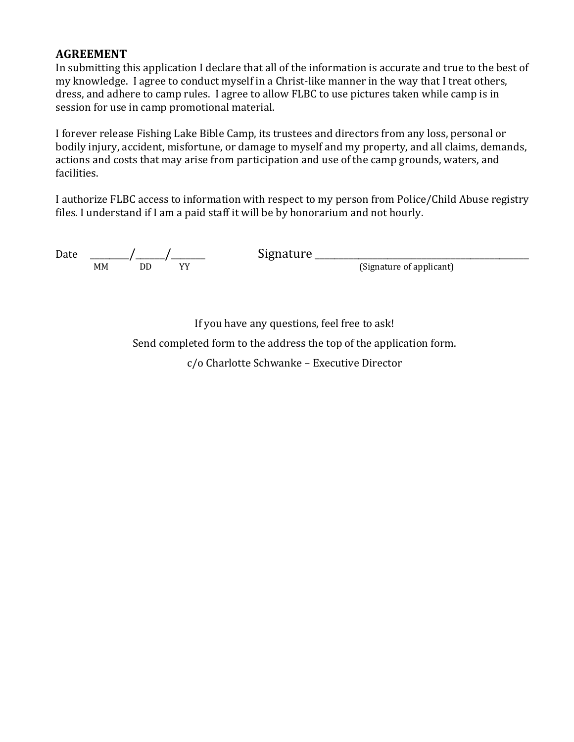## **AGREEMENT**

In submitting this application I declare that all of the information is accurate and true to the best of my knowledge. I agree to conduct myself in a Christ-like manner in the way that I treat others, dress, and adhere to camp rules. I agree to allow FLBC to use pictures taken while camp is in session for use in camp promotional material.

I forever release Fishing Lake Bible Camp, its trustees and directors from any loss, personal or bodily injury, accident, misfortune, or damage to myself and my property, and all claims, demands, actions and costs that may arise from participation and use of the camp grounds, waters, and facilities.

I authorize FLBC access to information with respect to my person from Police/Child Abuse registry files. I understand if I am a paid staff it will be by honorarium and not hourly.

| Date |    |    |    | signature |                          |
|------|----|----|----|-----------|--------------------------|
|      | MМ | DL | vv |           | (Signature of applicant) |

If you have any questions, feel free to ask!

Send completed form to the address the top of the application form.

c/o Charlotte Schwanke – Executive Director